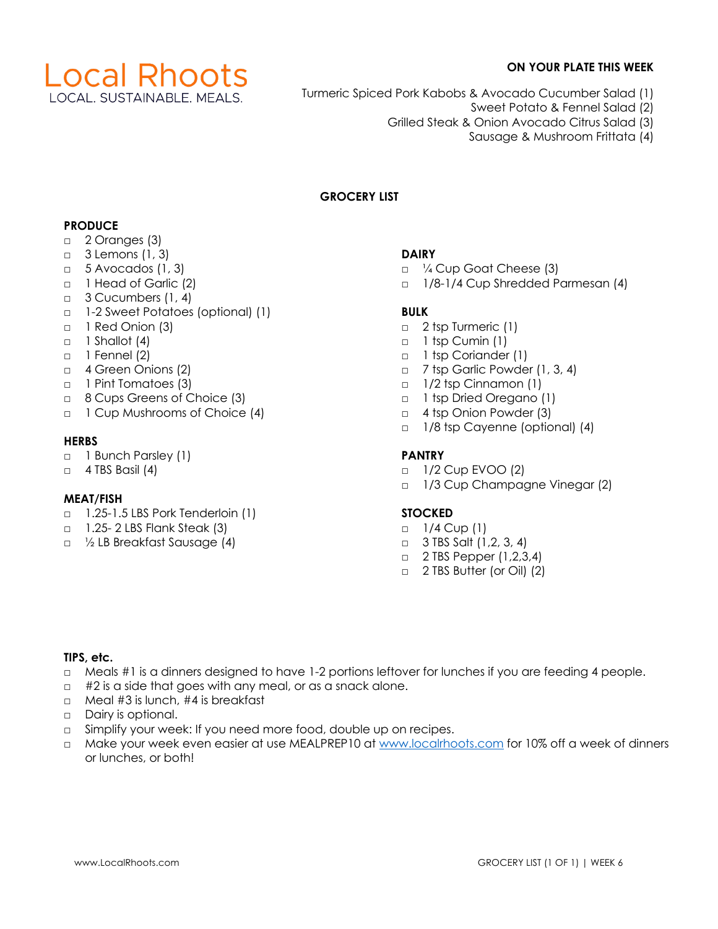

# **ON YOUR PLATE THIS WEEK**

- Turmeric Spiced Pork Kabobs & Avocado Cucumber Salad (1)
	- Sweet Potato & Fennel Salad (2)
	- Grilled Steak & Onion Avocado Citrus Salad (3)
		- Sausage & Mushroom Frittata (4)

## **GROCERY LIST**

## **PRODUCE**

- □ 2 Oranges (3)
- □ 3 Lemons (1, 3)
- $\Box$  5 Avocados (1, 3)
- □ 1 Head of Garlic (2)
- □ 3 Cucumbers (1, 4)
- □ 1-2 Sweet Potatoes (optional) (1)
- □ 1 Red Onion (3)
- $\Box$  1 Shallot (4)
- □ 1 Fennel (2)
- □ 4 Green Onions (2)
- □ 1 Pint Tomatoes (3)
- □ 8 Cups Greens of Choice (3)
- □ 1 Cup Mushrooms of Choice (4)

## **HERBS**

- □ 1 Bunch Parsley (1)
- $\Box$  4 TBS Basil (4)

## **MEAT/FISH**

- □ 1.25-1.5 LBS Pork Tenderloin (1)
- □ 1.25- 2 LBS Flank Steak (3)
- □ ½ LB Breakfast Sausage (4)

# **DAIRY**

- □ ¼ Cup Goat Cheese (3)
- □ 1/8-1/4 Cup Shredded Parmesan (4)

# **BULK**

- □ 2 tsp Turmeric (1)
- □ 1 tsp Cumin (1)
- □ 1 tsp Coriander (1)
- □ 7 tsp Garlic Powder (1, 3, 4)
- □ 1/2 tsp Cinnamon (1)
- □ 1 tsp Dried Oregano (1)
- □ 4 tsp Onion Powder (3)
- □ 1/8 tsp Cayenne (optional) (4)

# **PANTRY**

- □ 1/2 Cup EVOO (2)
- □ 1/3 Cup Champagne Vinegar (2)

## **STOCKED**

- □ 1/4 Cup (1)
- $\Box$  3 TBS Salt (1,2, 3, 4)
- □ 2 TBS Pepper (1,2,3,4)
- □ 2 TBS Butter (or Oil) (2)

#### **TIPS, etc.**

- □ Meals #1 is a dinners designed to have 1-2 portions leftover for lunches if you are feeding 4 people.
- $\Box$  #2 is a side that goes with any meal, or as a snack alone.
- □ Meal #3 is lunch, #4 is breakfast
- □ Dairy is optional.
- $\square$  Simplify your week: If you need more food, double up on recipes.
- □ Make your week even easier at use MEALPREP10 at www.localrhoots.com for 10% off a week of dinners or lunches, or both!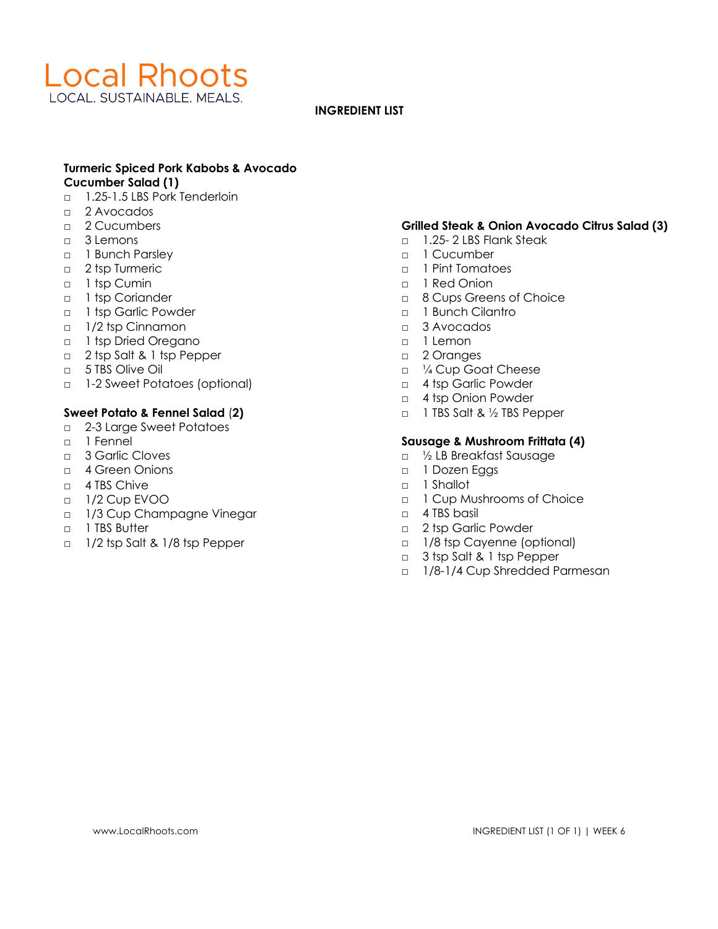

#### **INGREDIENT LIST**

## **Turmeric Spiced Pork Kabobs & Avocado Cucumber Salad (1)**

- □ 1.25-1.5 LBS Pork Tenderloin
- □ 2 Avocados
- □ 2 Cucumbers
- □ 3 Lemons
- □ 1 Bunch Parsley
- □ 2 tsp Turmeric
- □ 1 tsp Cumin
- □ 1 tsp Coriander
- □ 1 tsp Garlic Powder
- □ 1/2 tsp Cinnamon
- □ 1 tsp Dried Oregano
- □ 2 tsp Salt & 1 tsp Pepper
- □ 5 TBS Olive Oil
- □ 1-2 Sweet Potatoes (optional)

## **Sweet Potato & Fennel Salad** (**2)**

- □ 2-3 Large Sweet Potatoes
- □ 1 Fennel
- □ 3 Garlic Cloves
- □ 4 Green Onions
- □ 4 TBS Chive
- □ 1/2 Cup EVOO
- □ 1/3 Cup Champagne Vinegar
- □ 1 TBS Butter
- □ 1/2 tsp Salt & 1/8 tsp Pepper

## **Grilled Steak & Onion Avocado Citrus Salad (3)**

- □ 1.25- 2 LBS Flank Steak
- □ 1 Cucumber
- □ 1 Pint Tomatoes
- □ 1 Red Onion
- □ 8 Cups Greens of Choice
- □ 1 Bunch Cilantro
- $\Box$  3 Avocados
- □ 1 Lemon
- □ 2 Oranges
- □ ¼ Cup Goat Cheese
- □ 4 tsp Garlic Powder
- □ 4 tsp Onion Powder
- □ 1 TBS Salt & ½ TBS Pepper

## **Sausage & Mushroom Frittata (4)**

- □ ½ LB Breakfast Sausage
- □ 1 Dozen Eggs
- □ 1 Shallot
- □ 1 Cup Mushrooms of Choice
- $\Box$  4 TBS basil
- □ 2 tsp Garlic Powder
- □ 1/8 tsp Cayenne (optional)
- □ 3 tsp Salt & 1 tsp Pepper
- □ 1/8-1/4 Cup Shredded Parmesan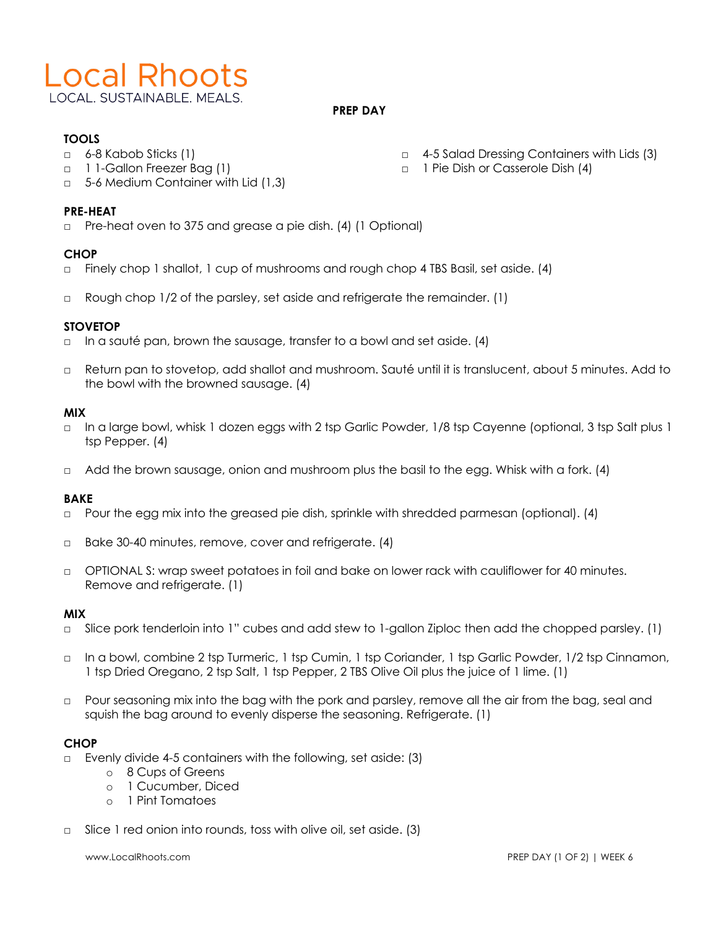

#### **PREP DAY**

# **TOOLS**

- □ 6-8 Kabob Sticks (1)
- □ 1 1-Gallon Freezer Bag (1)
- 5-6 Medium Container with Lid (1.3)

## **PRE-HEAT**

□ Pre-heat oven to 375 and grease a pie dish. (4) (1 Optional)

#### **CHOP**

- □ Finely chop 1 shallot, 1 cup of mushrooms and rough chop 4 TBS Basil, set aside. (4)
- □ Rough chop 1/2 of the parsley, set aside and refrigerate the remainder. (1)

#### **STOVETOP**

- □ In a sauté pan, brown the sausage, transfer to a bowl and set aside. (4)
- □ Return pan to stovetop, add shallot and mushroom. Sauté until it is translucent, about 5 minutes. Add to the bowl with the browned sausage. (4)

#### **MIX**

- □ In a large bowl, whisk 1 dozen eggs with 2 tsp Garlic Powder, 1/8 tsp Cayenne (optional, 3 tsp Salt plus 1 tsp Pepper. (4)
- □ Add the brown sausage, onion and mushroom plus the basil to the egg. Whisk with a fork. (4)

## **BAKE**

- □ Pour the egg mix into the greased pie dish, sprinkle with shredded parmesan (optional). (4)
- □ Bake 30-40 minutes, remove, cover and refrigerate. (4)
- □ OPTIONAL S: wrap sweet potatoes in foil and bake on lower rack with cauliflower for 40 minutes. Remove and refrigerate. (1)

#### **MIX**

- □ Slice pork tenderloin into 1" cubes and add stew to 1-gallon Ziploc then add the chopped parsley. (1)
- □ In a bowl, combine 2 tsp Turmeric, 1 tsp Cumin, 1 tsp Coriander, 1 tsp Garlic Powder, 1/2 tsp Cinnamon, 1 tsp Dried Oregano, 2 tsp Salt, 1 tsp Pepper, 2 TBS Olive Oil plus the juice of 1 lime. (1)
- □ Pour seasoning mix into the bag with the pork and parsley, remove all the air from the bag, seal and squish the bag around to evenly disperse the seasoning. Refrigerate. (1)

## **CHOP**

- □ Evenly divide 4-5 containers with the following, set aside: (3)
	- o 8 Cups of Greens
	- o 1 Cucumber, Diced
	- o 1 Pint Tomatoes
- □ Slice 1 red onion into rounds, toss with olive oil, set aside. (3)

- □ 4-5 Salad Dressing Containers with Lids (3)
- □ 1 Pie Dish or Casserole Dish (4)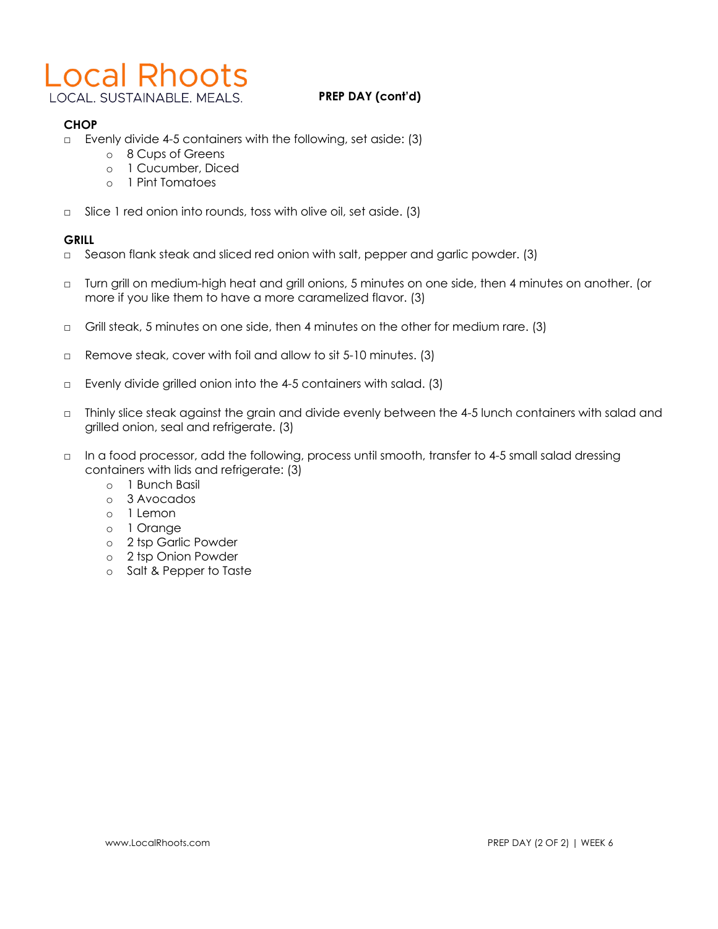# **Local Rhoots**

LOCAL. SUSTAINABLE. MEALS.

# **PREP DAY (cont'd)**

# **CHOP**

- □ Evenly divide 4-5 containers with the following, set aside: (3)
	- o 8 Cups of Greens
	- o 1 Cucumber, Diced
	- o 1 Pint Tomatoes
- □ Slice 1 red onion into rounds, toss with olive oil, set aside. (3)

# **GRILL**

- □ Season flank steak and sliced red onion with salt, pepper and garlic powder. (3)
- □ Turn grill on medium-high heat and grill onions, 5 minutes on one side, then 4 minutes on another. (or more if you like them to have a more caramelized flavor. (3)
- □ Grill steak, 5 minutes on one side, then 4 minutes on the other for medium rare. (3)
- □ Remove steak, cover with foil and allow to sit 5-10 minutes. (3)
- □ Evenly divide grilled onion into the 4-5 containers with salad. (3)
- □ Thinly slice steak against the grain and divide evenly between the 4-5 lunch containers with salad and grilled onion, seal and refrigerate. (3)
- □ In a food processor, add the following, process until smooth, transfer to 4-5 small salad dressing containers with lids and refrigerate: (3)
	- o 1 Bunch Basil
	- o 3 Avocados
	- o 1 Lemon
	- o 1 Orange
	- o 2 tsp Garlic Powder
	- o 2 tsp Onion Powder
	- o Salt & Pepper to Taste